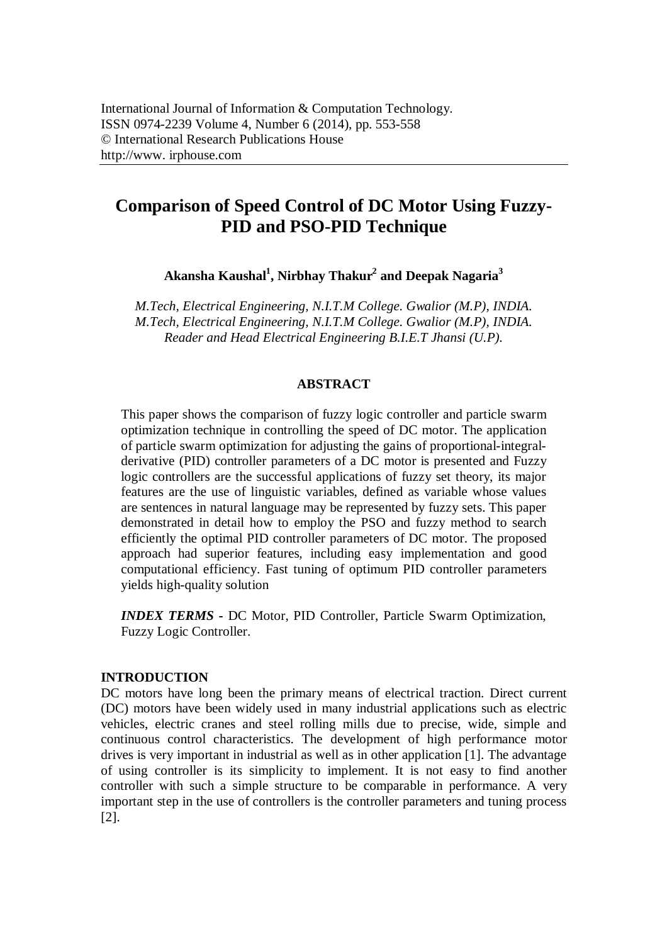# **Comparison of Speed Control of DC Motor Using Fuzzy-PID and PSO-PID Technique**

**Akansha Kaushal<sup>1</sup> , Nirbhay Thakur<sup>2</sup> and Deepak Nagaria<sup>3</sup>**

*M.Tech, Electrical Engineering, N.I.T.M College. Gwalior (M.P), INDIA. M.Tech, Electrical Engineering, N.I.T.M College. Gwalior (M.P), INDIA. Reader and Head Electrical Engineering B.I.E.T Jhansi (U.P).*

## **ABSTRACT**

This paper shows the comparison of fuzzy logic controller and particle swarm optimization technique in controlling the speed of DC motor. The application of particle swarm optimization for adjusting the gains of proportional-integralderivative (PID) controller parameters of a DC motor is presented and Fuzzy logic controllers are the successful applications of fuzzy set theory, its major features are the use of linguistic variables, defined as variable whose values are sentences in natural language may be represented by fuzzy sets. This paper demonstrated in detail how to employ the PSO and fuzzy method to search efficiently the optimal PID controller parameters of DC motor. The proposed approach had superior features, including easy implementation and good computational efficiency. Fast tuning of optimum PID controller parameters yields high-quality solution

*INDEX TERMS* **-** DC Motor, PID Controller, Particle Swarm Optimization, Fuzzy Logic Controller.

#### **INTRODUCTION**

DC motors have long been the primary means of electrical traction. Direct current (DC) motors have been widely used in many industrial applications such as electric vehicles, electric cranes and steel rolling mills due to precise, wide, simple and continuous control characteristics. The development of high performance motor drives is very important in industrial as well as in other application [1]. The advantage of using controller is its simplicity to implement. It is not easy to find another controller with such a simple structure to be comparable in performance. A very important step in the use of controllers is the controller parameters and tuning process [2].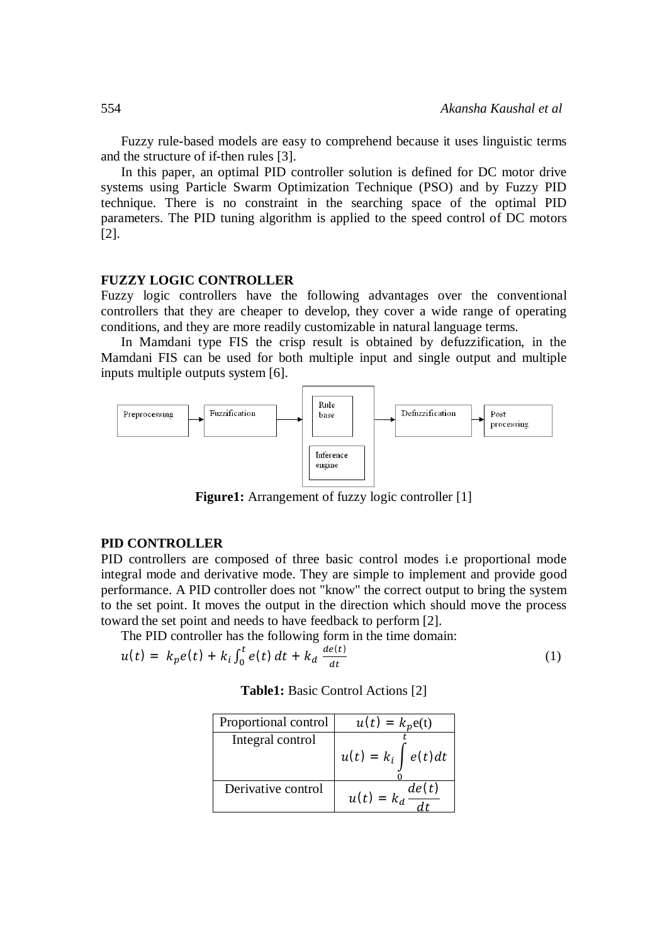Fuzzy rule-based models are easy to comprehend because it uses linguistic terms and the structure of if-then rules [3].

In this paper, an optimal PID controller solution is defined for DC motor drive systems using Particle Swarm Optimization Technique (PSO) and by Fuzzy PID technique. There is no constraint in the searching space of the optimal PID parameters. The PID tuning algorithm is applied to the speed control of DC motors [2].

#### **FUZZY LOGIC CONTROLLER**

Fuzzy logic controllers have the following advantages over the conventional controllers that they are cheaper to develop, they cover a wide range of operating conditions, and they are more readily customizable in natural language terms.

In Mamdani type FIS the crisp result is obtained by defuzzification, in the Mamdani FIS can be used for both multiple input and single output and multiple inputs multiple outputs system [6].



**Figure1:** Arrangement of fuzzy logic controller [1]

#### **PID CONTROLLER**

PID controllers are composed of three basic control modes i.e proportional mode integral mode and derivative mode. They are simple to implement and provide good performance. A PID controller does not "know" the correct output to bring the system to the set point. It moves the output in the direction which should move the process toward the set point and needs to have feedback to perform [2].

The PID controller has the following form in the time domain:

$$
u(t) = k_p e(t) + k_i \int_0^t e(t) dt + k_d \frac{de(t)}{dt}
$$
 (1)

| <b>Table1:</b> Basic Control Actions [2] |  |  |  |
|------------------------------------------|--|--|--|
|------------------------------------------|--|--|--|

| Proportional control | $u(t) = k_p e(t)$                  |
|----------------------|------------------------------------|
| Integral control     |                                    |
|                      | $u(t) = k_i \int e(t) dt$          |
|                      |                                    |
| Derivative control   | $\frac{de(t)}{dt}$<br>$u(t) = k_d$ |
|                      |                                    |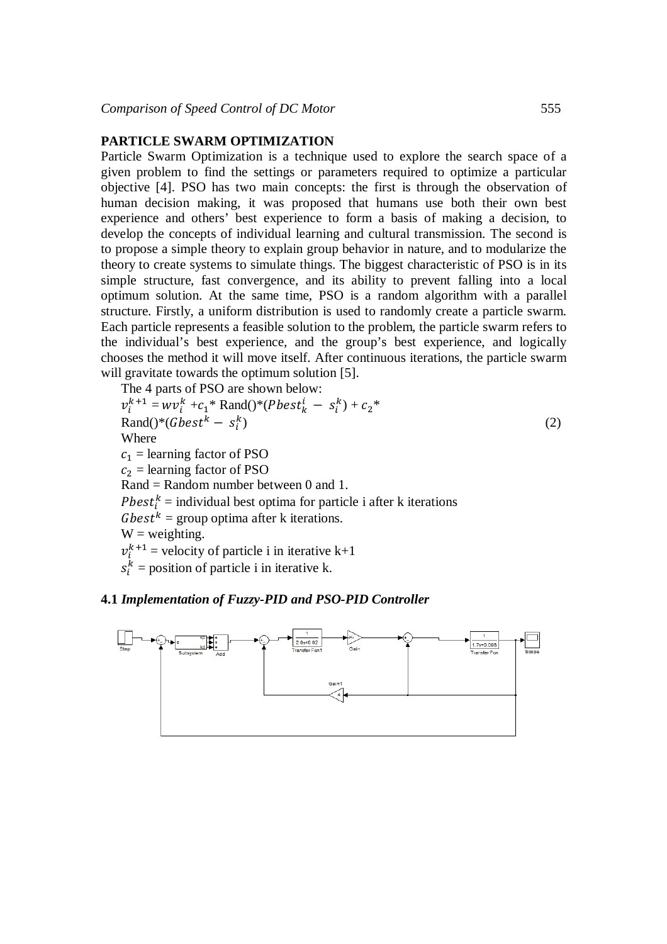#### **PARTICLE SWARM OPTIMIZATION**

Particle Swarm Optimization is a technique used to explore the search space of a given problem to find the settings or parameters required to optimize a particular objective [4]. PSO has two main concepts: the first is through the observation of human decision making, it was proposed that humans use both their own best experience and others' best experience to form a basis of making a decision, to develop the concepts of individual learning and cultural transmission. The second is to propose a simple theory to explain group behavior in nature, and to modularize the theory to create systems to simulate things. The biggest characteristic of PSO is in its simple structure, fast convergence, and its ability to prevent falling into a local optimum solution. At the same time, PSO is a random algorithm with a parallel structure. Firstly, a uniform distribution is used to randomly create a particle swarm. Each particle represents a feasible solution to the problem, the particle swarm refers to the individual's best experience, and the group's best experience, and logically chooses the method it will move itself. After continuous iterations, the particle swarm will gravitate towards the optimum solution [5].

The 4 parts of PSO are shown below:  
\n
$$
v_i^{k+1} = w v_i^k + c_1^*
$$
 Rand( $)*$ (*Pbest*<sup>k</sup> $- s_i^k$ ) +  $c_2^*$   
\nRand( $)*$ (*Gbest*<sup>k</sup> –  $s_i^k$ )  
\nWhere  
\n $c_1$  = learning factor of PSO  
\n $c_2$  = learning factor of PSO  
\nRand = Random number between 0 and 1.  
\n*Pbest*<sup>k</sup><sub>i</sub> = individual best optima for particle i after k iterations  
\n*Gbest*<sup>k</sup> = group optima after k iterations.  
\nW = weighting.  
\n $v_i^{k+1}$  = velocity of particle i in iterative k+1  
\n $s_i^k$  = position of particle i in iterative k.

## **4.1** *Implementation of Fuzzy-PID and PSO-PID Controller*

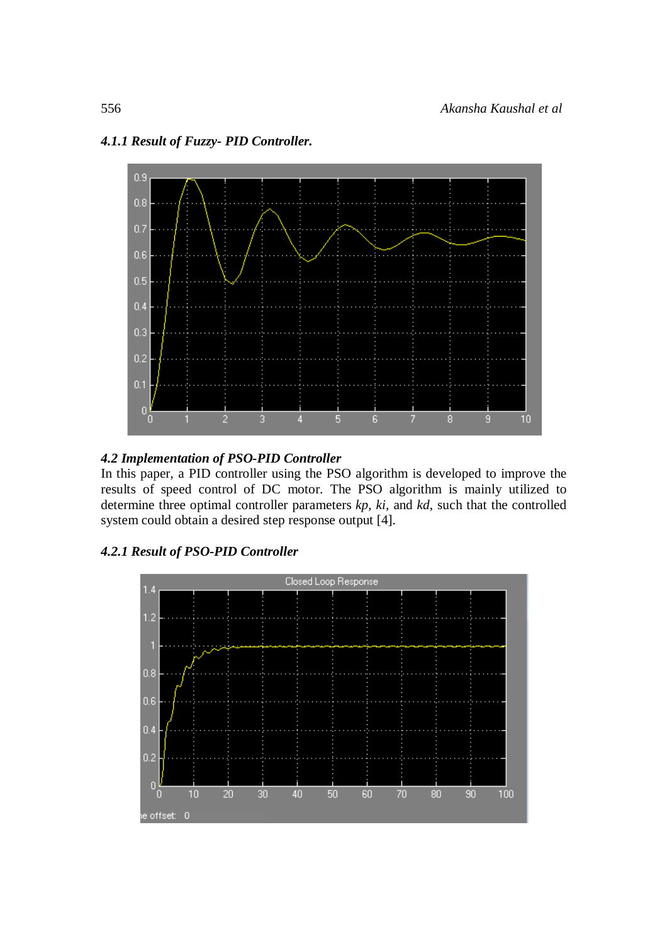

# *4.1.1 Result of Fuzzy- PID Controller.*

# *4.2 Implementation of PSO-PID Controller*

In this paper, a PID controller using the PSO algorithm is developed to improve the results of speed control of DC motor. The PSO algorithm is mainly utilized to determine three optimal controller parameters *kp*, *ki*, and *kd*, such that the controlled system could obtain a desired step response output [4].

*4.2.1 Result of PSO-PID Controller*

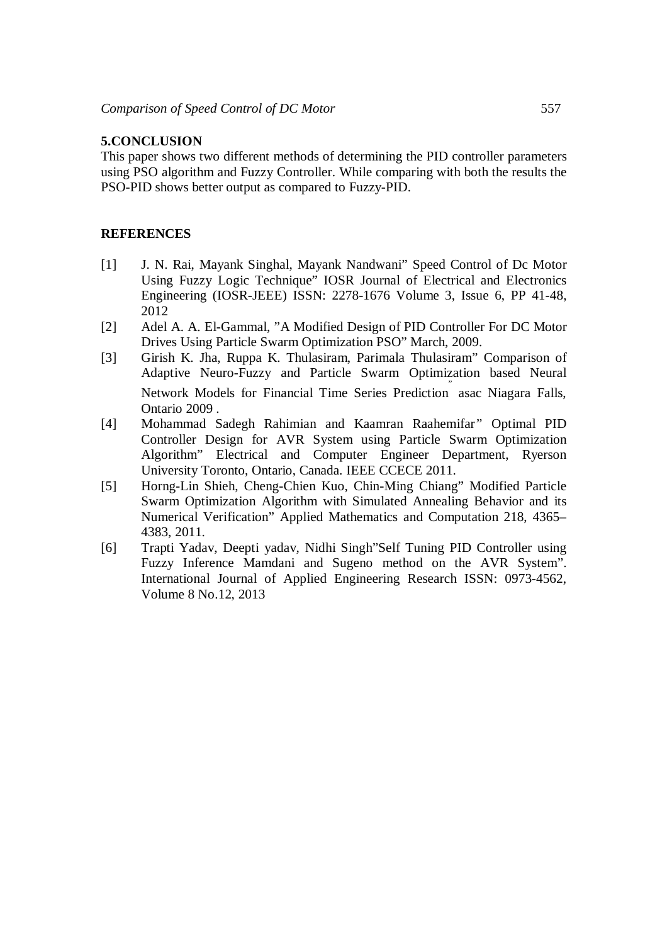#### **5.CONCLUSION**

This paper shows two different methods of determining the PID controller parameters using PSO algorithm and Fuzzy Controller. While comparing with both the results the PSO-PID shows better output as compared to Fuzzy-PID.

#### **REFERENCES**

- [1] J. N. Rai, Mayank Singhal, Mayank Nandwani" Speed Control of Dc Motor Using Fuzzy Logic Technique" IOSR Journal of Electrical and Electronics Engineering (IOSR-JEEE) ISSN: 2278-1676 Volume 3, Issue 6, PP 41-48, 2012
- [2] Adel A. A. El-Gammal, "A Modified Design of PID Controller For DC Motor Drives Using Particle Swarm Optimization PSO" March, 2009.
- [3] Girish K. Jha, Ruppa K. Thulasiram, Parimala Thulasiram" Comparison of Adaptive Neuro-Fuzzy and Particle Swarm Optimization based Neural Network Models for Financial Time Series Prediction " asac Niagara Falls, Ontario 2009 .
- [4] Mohammad Sadegh Rahimian and Kaamran Raahemifar*"* Optimal PID Controller Design for AVR System using Particle Swarm Optimization Algorithm" Electrical and Computer Engineer Department, Ryerson University Toronto, Ontario, Canada. IEEE CCECE 2011.
- [5] Horng-Lin Shieh, Cheng-Chien Kuo, Chin-Ming Chiang" Modified Particle Swarm Optimization Algorithm with Simulated Annealing Behavior and its Numerical Verification" Applied Mathematics and Computation 218, 4365– 4383, 2011.
- [6] Trapti Yadav, Deepti yadav, Nidhi Singh"Self Tuning PID Controller using Fuzzy Inference Mamdani and Sugeno method on the AVR System". International Journal of Applied Engineering Research ISSN: 0973-4562, Volume 8 No.12, 2013